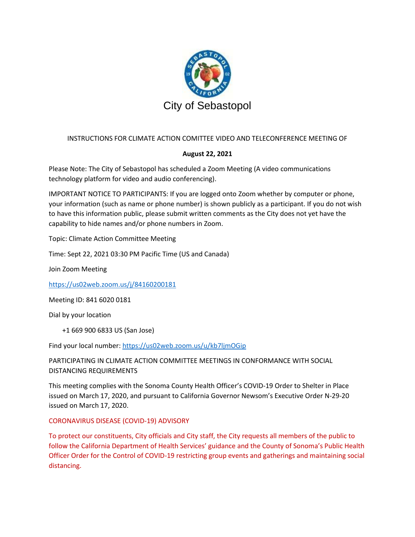

## INSTRUCTIONS FOR CLIMATE ACTION COMITTEE VIDEO AND TELECONFERENCE MEETING OF

#### **August 22, 2021**

Please Note: The City of Sebastopol has scheduled a Zoom Meeting (A video communications technology platform for video and audio conferencing).

IMPORTANT NOTICE TO PARTICIPANTS: If you are logged onto Zoom whether by computer or phone, your information (such as name or phone number) is shown publicly as a participant. If you do not wish to have this information public, please submit written comments as the City does not yet have the capability to hide names and/or phone numbers in Zoom.

Topic: Climate Action Committee Meeting

Time: Sept 22, 2021 03:30 PM Pacific Time (US and Canada)

Join Zoom Meeting

<https://us02web.zoom.us/j/84160200181>

Meeting ID: 841 6020 0181

Dial by your location

+1 669 900 6833 US (San Jose)

Find your local number[: https://us02web.zoom.us/u/kb7ljmOGip](https://us02web.zoom.us/u/kb7ljmOGip)

PARTICIPATING IN CLIMATE ACTION COMMITTEE MEETINGS IN CONFORMANCE WITH SOCIAL DISTANCING REQUIREMENTS

This meeting complies with the Sonoma County Health Officer's COVID-19 Order to Shelter in Place issued on March 17, 2020, and pursuant to California Governor Newsom's Executive Order N-29-20 issued on March 17, 2020.

#### CORONAVIRUS DISEASE (COVID-19) ADVISORY

To protect our constituents, City officials and City staff, the City requests all members of the public to follow the California Department of Health Services' guidance and the County of Sonoma's Public Health Officer Order for the Control of COVID-19 restricting group events and gatherings and maintaining social distancing.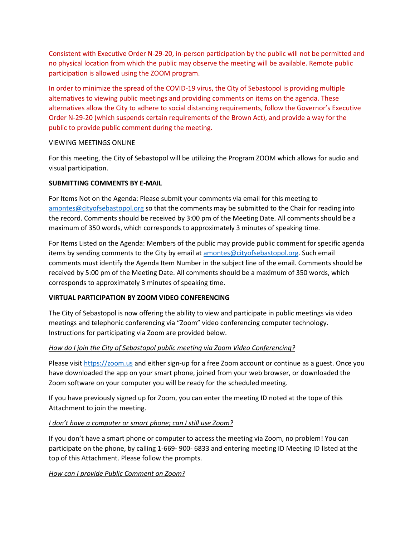Consistent with Executive Order N-29-20, in-person participation by the public will not be permitted and no physical location from which the public may observe the meeting will be available. Remote public participation is allowed using the ZOOM program.

In order to minimize the spread of the COVID-19 virus, the City of Sebastopol is providing multiple alternatives to viewing public meetings and providing comments on items on the agenda. These alternatives allow the City to adhere to social distancing requirements, follow the Governor's Executive Order N-29-20 (which suspends certain requirements of the Brown Act), and provide a way for the public to provide public comment during the meeting.

#### VIEWING MEETINGS ONLINE

For this meeting, the City of Sebastopol will be utilizing the Program ZOOM which allows for audio and visual participation.

#### **SUBMITTING COMMENTS BY E-MAIL**

For Items Not on the Agenda: Please submit your comments via email for this meeting to [amontes@cityofsebastopol.org](mailto:amontes@cityofsebastopol.org) so that the comments may be submitted to the Chair for reading into the record. Comments should be received by 3:00 pm of the Meeting Date. All comments should be a maximum of 350 words, which corresponds to approximately 3 minutes of speaking time.

For Items Listed on the Agenda: Members of the public may provide public comment for specific agenda items by sending comments to the City by email at [amontes@cityofsebastopol.org.](mailto:amontes@cityofsebastopol.org) Such email comments must identify the Agenda Item Number in the subject line of the email. Comments should be received by 5:00 pm of the Meeting Date. All comments should be a maximum of 350 words, which corresponds to approximately 3 minutes of speaking time.

## **VIRTUAL PARTICIPATION BY ZOOM VIDEO CONFERENCING**

The City of Sebastopol is now offering the ability to view and participate in public meetings via video meetings and telephonic conferencing via "Zoom" video conferencing computer technology. Instructions for participating via Zoom are provided below.

## *How do I join the City of Sebastopol public meeting via Zoom Video Conferencing?*

Please visi[t https://zoom.us](https://zoom.us/) and either sign-up for a free Zoom account or continue as a guest. Once you have downloaded the app on your smart phone, joined from your web browser, or downloaded the Zoom software on your computer you will be ready for the scheduled meeting.

If you have previously signed up for Zoom, you can enter the meeting ID noted at the tope of this Attachment to join the meeting.

## *I don't have a computer or smart phone; can I still use Zoom?*

If you don't have a smart phone or computer to access the meeting via Zoom, no problem! You can participate on the phone, by calling 1-669- 900- 6833 and entering meeting ID Meeting ID listed at the top of this Attachment. Please follow the prompts.

## *How can I provide Public Comment on Zoom?*